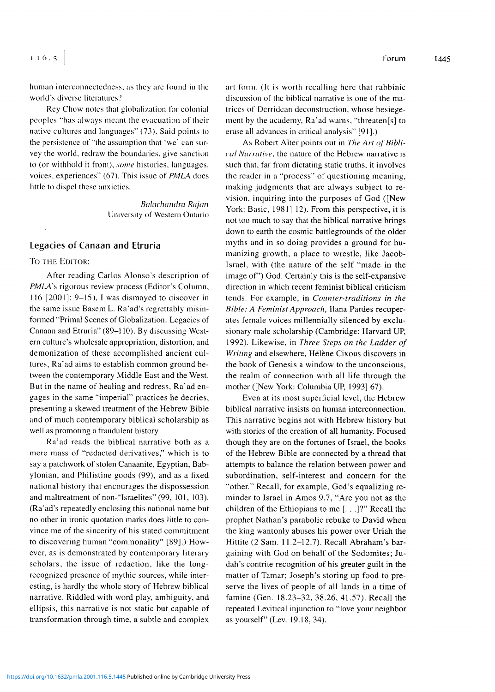human interconnectedness, as they are found in the world's diverse literatures?

Rey Chow notes that globalization for colonial peoples "has always meant the evacuation of their native cultures and languages" (73). Said points to the persistence of "the assumption that 'we' can survey the world, redraw the boundaries, give sanction to (or withhold it from),*some* histories, languages, voices, experiences" (67). This issue of *PMLA* does little to dispel these anxieties.

> *Balachandra Rajan* University of Western Ontario

## **Legacies of Canaan and Etruria**

## To the Editor:

After reading Carlos Alonso's description of *PMLA's* rigorous review process (Editor's Column, 116 [2001]: 9-15), <sup>I</sup> was dismayed to discover in the same issue Basem L. Ra'ad's regrettably misinformed "Primal Scenes of Globalization: Legacies of Canaan and Etruria" (89-110). By discussing Western culture's wholesale appropriation, distortion, and demonization of these accomplished ancient cultures, Ra'ad aims to establish common ground between the contemporary Middle East and the West. But in the name of healing and redress, Ra'ad engages in the same "imperial" practices he decries, presenting a skewed treatment of the Hebrew Bible and of much contemporary biblical scholarship as well as promoting a fraudulent history.

Ra'ad reads the biblical narrative both as a mere mass of "redacted derivatives," which is to say a patchwork of stolen Canaanite, Egyptian, Babylonian, and Philistine goods (99), and as a fixed national history that encourages the dispossession and maltreatment of non-'Tsraelites" (99, 101, 103). (Ra'ad's repeatedly enclosing this national name but no other in ironic quotation marks does little to convince me of the sincerity of his stated commitment to discovering human "commonality" [89].) However, as is demonstrated by contemporary literary scholars, the issue of redaction, like the longrecognized presence of mythic sources, while interesting, is hardly the whole story of Hebrew biblical narrative. Riddled with word play, ambiguity, and ellipsis, this narrative is not static but capable of transformation through time, a subtle and complex

art form. (It is worth recalling here that rabbinic discussion of the biblical narrative is one of the matrices of Derridean deconstruction, whose besiegement by the academy, Ra'ad warns, "threaten[s] to erase all advances in critical analysis" [91].)

As Robert Alter points out in *The An ofBiblical Narrative,* the nature of the Hebrew narrative is such that, far from dictating static truths, it involves the reader in a "process" of questioning meaning, making judgments that are always subject to revision, inquiring into the purposes of God ([New York: Basic, 1981] 12). From this perspective, it is not too much to say that the biblical narrative brings down to earth the cosmic battlegrounds of the older myths and in so doing provides a ground for humanizing growth, a place to wrestle, like Jacob-Israel, with (the nature of the self "made in the image of") God. Certainly this is the self-expansive direction in which recent feminist biblical criticism tends. For example, in *Counter-traditions in the Bible: A Feminist Approach,* liana Pardes recuperates female voices millennially silenced by exclusionary male scholarship (Cambridge: Harvard UP, 1992). Likewise, in *Three Steps on the Ladder of Writing* and elsewhere, Hélène Cixous discovers in the book of Genesis a window to the unconscious, the realm of connection with all life through the mother ([New York: Columbia UP, 1993] 67).

Even at its most superficial level, the Hebrew biblical narrative insists on human interconnection. This narrative begins not with Hebrew history but with stories of the creation of all humanity. Focused though they are on the fortunes of Israel, the books of the Hebrew Bible are connected by a thread that attempts to balance the relation between power and subordination, self-interest and concern for the "other." Recall, for example, God's equalizing reminder to Israel in Amos 9.7, "Are you not as the children of the Ethiopians to me [. . .]?" Recall the prophet Nathan's parabolic rebuke to David when the king wantonly abuses his power over Uriah the Hittite (2 Sam. 11.2-12.7). Recall Abraham's bargaining with God on behalf of the Sodomites; Judah'<sup>s</sup> contrite recognition of his greater guilt in the matter of Tamar; Joseph's storing up food to preserve the lives of people of all lands in a time of famine (Gen. 18.23-32, 38.26, 41.57). Recall the repeated Levitical injunction to "love your neighbor as yourself" (Lev. 19.18, 34).